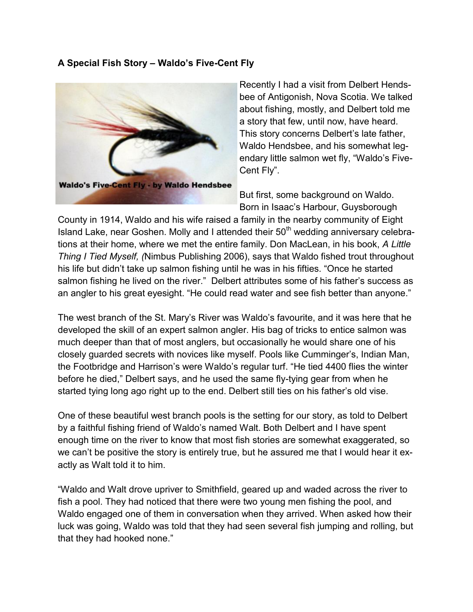## **A Special Fish Story – Waldo's Five-Cent Fly**



Recently I had a visit from Delbert Hendsbee of Antigonish, Nova Scotia. We talked about fishing, mostly, and Delbert told me a story that few, until now, have heard. This story concerns Delbert's late father, Waldo Hendsbee, and his somewhat legendary little salmon wet fly, "Waldo's Five-Cent Fly".

But first, some background on Waldo. Born in Isaac's Harbour, Guysborough

County in 1914, Waldo and his wife raised a family in the nearby community of Eight Island Lake, near Goshen. Molly and I attended their  $50<sup>th</sup>$  wedding anniversary celebrations at their home, where we met the entire family. Don MacLean, in his book, *A Little Thing I Tied Myself, (*Nimbus Publishing 2006), says that Waldo fished trout throughout his life but didn't take up salmon fishing until he was in his fifties. "Once he started salmon fishing he lived on the river." Delbert attributes some of his father's success as an angler to his great eyesight. "He could read water and see fish better than anyone."

The west branch of the St. Mary's River was Waldo's favourite, and it was here that he developed the skill of an expert salmon angler. His bag of tricks to entice salmon was much deeper than that of most anglers, but occasionally he would share one of his closely guarded secrets with novices like myself. Pools like Cumminger's, Indian Man, the Footbridge and Harrison's were Waldo's regular turf. "He tied 4400 flies the winter before he died," Delbert says, and he used the same fly-tying gear from when he started tying long ago right up to the end. Delbert still ties on his father's old vise.

One of these beautiful west branch pools is the setting for our story, as told to Delbert by a faithful fishing friend of Waldo's named Walt. Both Delbert and I have spent enough time on the river to know that most fish stories are somewhat exaggerated, so we can't be positive the story is entirely true, but he assured me that I would hear it exactly as Walt told it to him.

"Waldo and Walt drove upriver to Smithfield, geared up and waded across the river to fish a pool. They had noticed that there were two young men fishing the pool, and Waldo engaged one of them in conversation when they arrived. When asked how their luck was going, Waldo was told that they had seen several fish jumping and rolling, but that they had hooked none."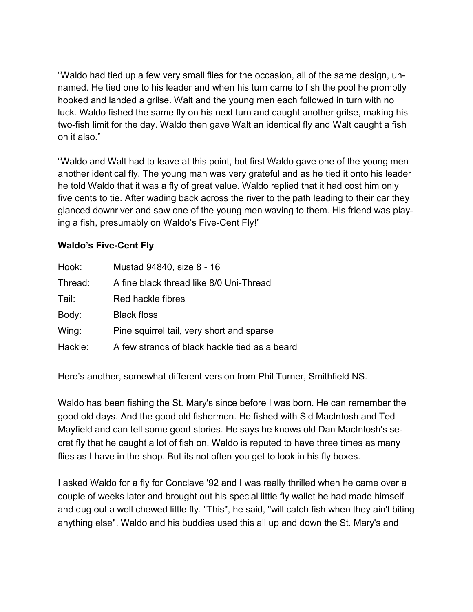"Waldo had tied up a few very small flies for the occasion, all of the same design, unnamed. He tied one to his leader and when his turn came to fish the pool he promptly hooked and landed a grilse. Walt and the young men each followed in turn with no luck. Waldo fished the same fly on his next turn and caught another grilse, making his two-fish limit for the day. Waldo then gave Walt an identical fly and Walt caught a fish on it also."

"Waldo and Walt had to leave at this point, but first Waldo gave one of the young men another identical fly. The young man was very grateful and as he tied it onto his leader he told Waldo that it was a fly of great value. Waldo replied that it had cost him only five cents to tie. After wading back across the river to the path leading to their car they glanced downriver and saw one of the young men waving to them. His friend was playing a fish, presumably on Waldo's Five-Cent Fly!"

## **Waldo's Five-Cent Fly**

| Hook:   | Mustad 94840, size 8 - 16                     |
|---------|-----------------------------------------------|
| Thread: | A fine black thread like 8/0 Uni-Thread       |
| Tail:   | Red hackle fibres                             |
| Body:   | <b>Black floss</b>                            |
| Wing:   | Pine squirrel tail, very short and sparse     |
| Hackle: | A few strands of black hackle tied as a beard |

Here's another, somewhat different version from Phil Turner, Smithfield NS.

Waldo has been fishing the St. Mary's since before I was born. He can remember the good old days. And the good old fishermen. He fished with Sid MacIntosh and Ted Mayfield and can tell some good stories. He says he knows old Dan MacIntosh's secret fly that he caught a lot of fish on. Waldo is reputed to have three times as many flies as I have in the shop. But its not often you get to look in his fly boxes.

I asked Waldo for a fly for Conclave '92 and I was really thrilled when he came over a couple of weeks later and brought out his special little fly wallet he had made himself and dug out a well chewed little fly. "This", he said, "will catch fish when they ain't biting anything else". Waldo and his buddies used this all up and down the St. Mary's and